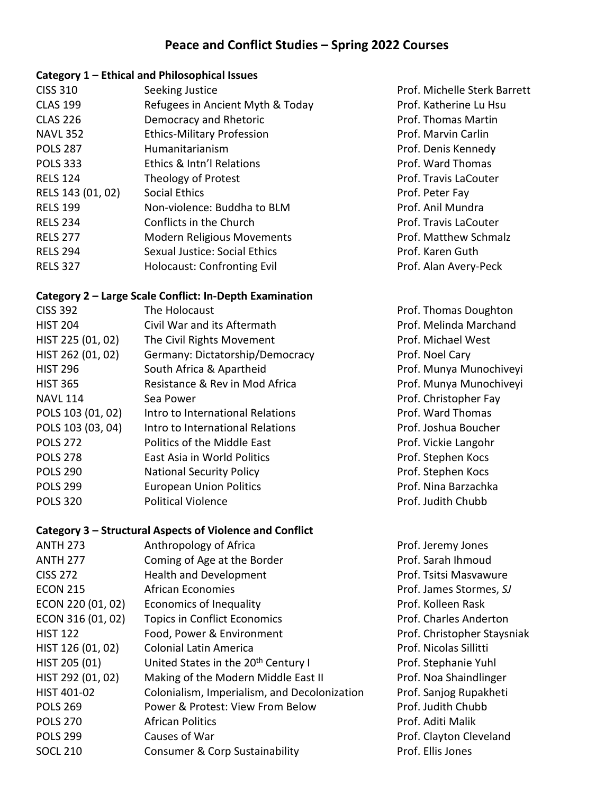## **Peace and Conflict Studies – Spring 2022 Courses**

#### **Category 1 – Ethical and Philosophical Issues**

| <b>CISS 310</b>   | Seeking Justice                    |
|-------------------|------------------------------------|
| <b>CLAS 199</b>   | Refugees in Ancient Myth & Today   |
| <b>CLAS 226</b>   | Democracy and Rhetoric             |
| <b>NAVL 352</b>   | <b>Ethics-Military Profession</b>  |
| <b>POLS 287</b>   | Humanitarianism                    |
| <b>POLS 333</b>   | Ethics & Intn'l Relations          |
| <b>RELS 124</b>   | <b>Theology of Protest</b>         |
| RELS 143 (01, 02) | <b>Social Ethics</b>               |
| <b>RELS 199</b>   | Non-violence: Buddha to BLM        |
| <b>RELS 234</b>   | Conflicts in the Church            |
| <b>RELS 277</b>   | <b>Modern Religious Movements</b>  |
| <b>RELS 294</b>   | Sexual Justice: Social Ethics      |
| <b>RELS 327</b>   | <b>Holocaust: Confronting Evil</b> |

#### **Category 2 – Large Scale Conflict: In-Depth Examination**

| <b>CISS 392</b>   | The Holocaust                    |
|-------------------|----------------------------------|
| <b>HIST 204</b>   | Civil War and its Aftermath      |
| HIST 225 (01, 02) | The Civil Rights Movement        |
| HIST 262 (01, 02) | Germany: Dictatorship/Democrac   |
| <b>HIST 296</b>   | South Africa & Apartheid         |
| <b>HIST 365</b>   | Resistance & Rev in Mod Africa   |
| <b>NAVL 114</b>   | Sea Power                        |
| POLS 103 (01, 02) | Intro to International Relations |
| POLS 103 (03, 04) | Intro to International Relations |
| <b>POLS 272</b>   | Politics of the Middle East      |
| <b>POLS 278</b>   | East Asia in World Politics      |
| <b>POLS 290</b>   | <b>National Security Policy</b>  |
| <b>POLS 299</b>   | <b>European Union Politics</b>   |
| <b>POLS 320</b>   | <b>Political Violence</b>        |
|                   |                                  |

**Category 3 – Structural Aspects of Violence and Conflict**

# Prof. Ward Thomas Prof. Travis LaCouter Prof. Peter Fay Prof. Anil Mundra Prof. Travis LaCouter Prof. Matthew Schmalz Prof. Karen Guth Prof. Alan Avery-Peck Prof. Thomas Doughton Prof. Munya Munochiveyi Prof. Munya Munochiveyi

Prof. Michelle Sterk Barrett Prof. Katherine Lu Hsu Prof. Thomas Martin Prof. Marvin Carlin Prof. Denis Kennedy

Prof. Melinda Marchand Prof. Michael West y 262 Prof. Noel Cary: Dictatorship Prof. Christopher Fay Prof. Ward Thomas Prof. Joshua Boucher Prof. Vickie Langohr Prof. Stephen Kocs Prof. Stephen Kocs Prof. Nina Barzachka Prof. Judith Chubb

### ANTH 273 Anthropology of Africa **Anthropology of Africa** Prof. Jeremy Jones ANTH 277 Coming of Age at the Border Communication of Agents Communication of Agents Communication of Agents C CISS 272 Health and Development Prof. Tsitsi Masvawure ECON 215 African Economies Prof. James Stormes, *SJ* ECON 220 (01, 02) Economics of Inequality Economics of Inequality Prof. Kolleen Rask ECON 316 (01, 02) Topics in Conflict Economics Prof. Charles Anderton HIST 122 Food, Power & Environment Prof. Christopher Staysniak HIST 126 (01, 02) Colonial Latin America Colonial Latin America Prof. Nicolas Sillitti HIST 205 (01) United States in the 20<sup>th</sup> Century I Prof. Stephanie Yuhl HIST 292 (01, 02) Making of the Modern Middle East II Prof. Noa Shaindlinger HIST 401-02 Colonialism, Imperialism, and Decolonization Prof. Sanjog Rupakheti POLS 269 Power & Protest: View From Below Prof. Judith Chubb POLS 270 **African Politics And Access 270 Prof. Aditi Malik** POLS 299 **Causes of War POLS 299** Causes of War **PLACE CONSTRUSS** Prof. Clayton Cleveland SOCL 210 Consumer & Corp Sustainability Frof. Ellis Jones